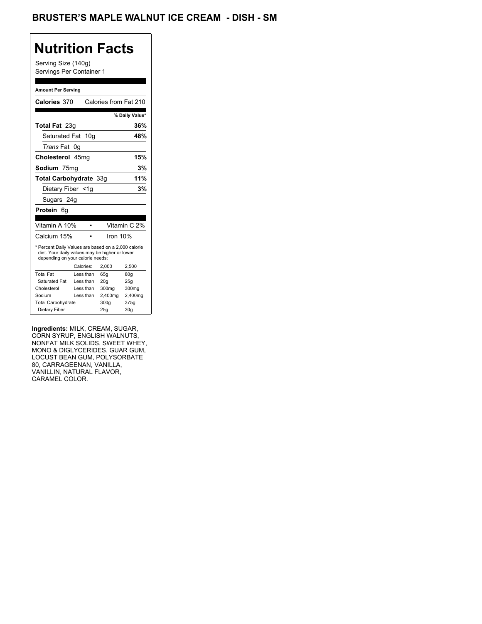## BRUSTER'S MAPLE WALNUT ICE CREAM - DISH - SM

## **Nutrition Facts**

Serving Size (140g) Servings Per Container 1

#### **Amount Per Serving**

| Calories 370                                                                                                                              |    |           |          | Calories from Fat 210 |
|-------------------------------------------------------------------------------------------------------------------------------------------|----|-----------|----------|-----------------------|
|                                                                                                                                           |    |           |          | % Daily Value*        |
| Total Fat 23g                                                                                                                             |    |           |          | 36%                   |
| Saturated Fat                                                                                                                             |    | 10q       |          | 48%                   |
| <i>Trans</i> Fat                                                                                                                          | 0g |           |          |                       |
| Cholesterol 45mg                                                                                                                          |    |           |          | 15%                   |
| Sodium 75mg                                                                                                                               |    |           |          | 3%                    |
| <b>Total Carbohydrate 33g</b>                                                                                                             |    |           |          | 11%                   |
| Dietary Fiber <1q                                                                                                                         |    |           |          | 3%                    |
| Sugars 24g                                                                                                                                |    |           |          |                       |
| Protein 6q                                                                                                                                |    |           |          |                       |
|                                                                                                                                           |    |           |          |                       |
| Vitamin A 10%                                                                                                                             |    |           |          | Vitamin C 2%          |
| Calcium 15%                                                                                                                               |    |           | Iron 10% |                       |
| * Percent Daily Values are based on a 2,000 calorie<br>diet. Your daily values may be higher or lower<br>depending on your calorie needs: |    |           |          |                       |
|                                                                                                                                           |    | Calories: | 2,000    | 2,500                 |
| <b>Total Fat</b>                                                                                                                          |    | Less than | 65q      | 80q                   |
| Saturated Fat                                                                                                                             |    | Less than | 20q      | 25q                   |
| Cholesterol                                                                                                                               |    | Less than | 300mg    | 300mg                 |
| Sodium                                                                                                                                    |    | Less than | 2,400mg  | 2,400mg               |
| <b>Total Carbohydrate</b>                                                                                                                 |    |           | 300g     | 375g                  |
| Dietary Fiber                                                                                                                             |    |           | 25q      | 30 <sub>g</sub>       |

**Ingredients:** MILK, CREAM, SUGAR, CORN SYRUP, ENGLISH WALNUTS, NONFAT MILK SOLIDS, SWEET WHEY, MONO & DIGLYCERIDES, GUAR GUM, LOCUST BEAN GUM, POLYSORBATE 80, CARRAGEENAN, VANILLA, VANILLIN, NATURAL FLAVOR, CARAMEL COLOR.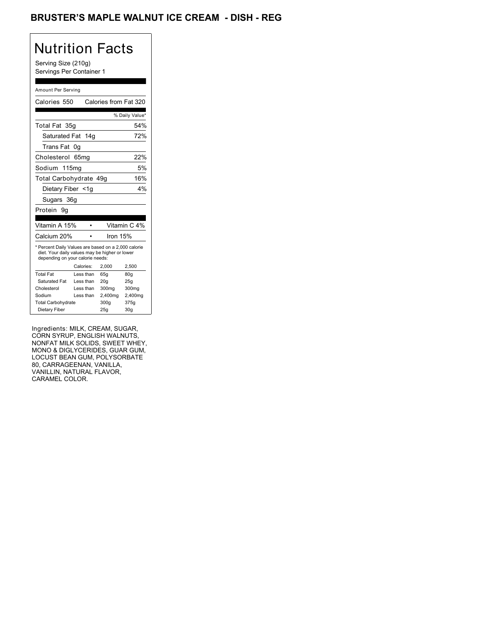### BRUSTER'S MAPLE WALNUT ICE CREAM - DISH - REG

## Nutrition Facts

Serving Size (210g) Servings Per Container 1

#### Amount Per Serving

| Calories 550                                                                                                                              |           | Calories from Fat 320 |                 |
|-------------------------------------------------------------------------------------------------------------------------------------------|-----------|-----------------------|-----------------|
|                                                                                                                                           |           |                       | % Daily Value*  |
| Total Fat 35g                                                                                                                             |           |                       | 54%             |
| Saturated Fat 14g                                                                                                                         |           |                       | 72%             |
| Trans Fat                                                                                                                                 | 0g        |                       |                 |
| Cholesterol 65mg                                                                                                                          |           |                       | 22%             |
| Sodium 115mg                                                                                                                              |           |                       | 5%              |
| Total Carbohydrate 49g                                                                                                                    |           |                       | 16%             |
| Dietary Fiber <1g                                                                                                                         |           |                       | 4%              |
| Sugars 36g                                                                                                                                |           |                       |                 |
| Protein<br>9g                                                                                                                             |           |                       |                 |
|                                                                                                                                           |           |                       |                 |
| Vitamin A 15%                                                                                                                             |           |                       | Vitamin C 4%    |
| Calcium 20%                                                                                                                               |           | Iron 15%              |                 |
| * Percent Daily Values are based on a 2,000 calorie<br>diet. Your daily values may be higher or lower<br>depending on your calorie needs: |           |                       |                 |
|                                                                                                                                           | Calories: | 2.000                 | 2,500           |
| <b>Total Fat</b>                                                                                                                          | Less than | 65q                   | 80q             |
| Saturated Fat                                                                                                                             | Less than | 20q                   | 25q             |
| Cholesterol                                                                                                                               | Less than | 300mg                 | 300mg           |
| Sodium                                                                                                                                    | Less than | 2,400mg               | 2,400mg         |
| <b>Total Carbohydrate</b>                                                                                                                 |           | 300a                  | 375g            |
| Dietary Fiber                                                                                                                             |           | 25q                   | 30 <sub>g</sub> |

Ingredients: MILK, CREAM, SUGAR, CORN SYRUP, ENGLISH WALNUTS, NONFAT MILK SOLIDS, SWEET WHEY, MONO & DIGLYCERIDES, GUAR GUM, LOCUST BEAN GUM, POLYSORBATE 80, CARRAGEENAN, VANILLA, VANILLIN, NATURAL FLAVOR, CARAMEL COLOR.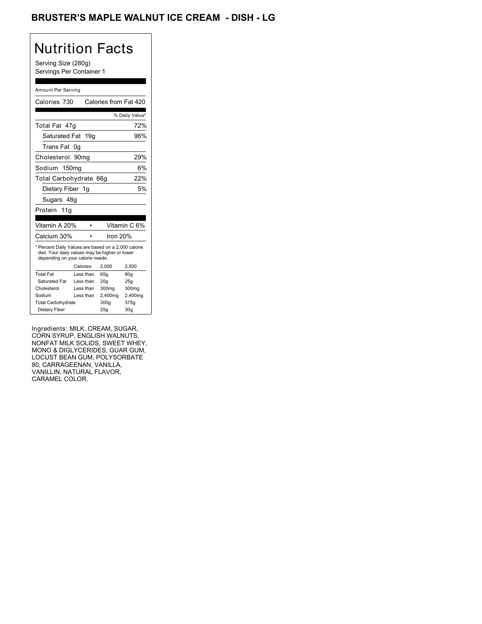## BRUSTER'S MAPLE WALNUT ICE CREAM - DISH - LG

# Nutrition Facts

Serving Size (280g) Servings Per Container 1

#### Amount Per Serving

| Calories 730                                                                                                                              |           |           | Calories from Fat 420 |                 |
|-------------------------------------------------------------------------------------------------------------------------------------------|-----------|-----------|-----------------------|-----------------|
|                                                                                                                                           |           |           |                       | % Daily Value*  |
| Total Fat 47q                                                                                                                             |           |           |                       | 72%             |
| Saturated Fat 19g                                                                                                                         |           |           |                       | 96%             |
| Trans Fat                                                                                                                                 | 0g        |           |                       |                 |
| Cholesterol 90mg                                                                                                                          |           |           |                       | 29%             |
| Sodium 150mg                                                                                                                              |           |           |                       | 6%              |
| Total Carbohydrate                                                                                                                        |           |           | 66q                   | 22%             |
| Dietary Fiber 1g                                                                                                                          |           |           |                       | 5%              |
| Sugars 48g                                                                                                                                |           |           |                       |                 |
| Protein 11g                                                                                                                               |           |           |                       |                 |
|                                                                                                                                           |           |           |                       |                 |
| Vitamin A 20%                                                                                                                             |           |           |                       | Vitamin C 6%    |
| Calcium 30%                                                                                                                               |           |           | Iron 20%              |                 |
| * Percent Daily Values are based on a 2,000 calorie<br>diet. Your daily values may be higher or lower<br>depending on your calorie needs: |           |           |                       |                 |
|                                                                                                                                           | Calories: |           | 2.000                 | 2,500           |
| <b>Total Fat</b>                                                                                                                          |           | Less than | 65q                   | 80q             |
| Saturated Fat                                                                                                                             |           | Less than | 20q                   | 25q             |
| Cholesterol                                                                                                                               |           | Less than | 300mg                 | 300mg           |
| Sodium                                                                                                                                    |           | Less than | 2,400mg               | 2,400mg         |
| <b>Total Carbohydrate</b>                                                                                                                 |           |           | 300a                  | 375g            |
| Dietary Fiber                                                                                                                             |           |           | 25q                   | 30 <sub>g</sub> |

Ingredients: MILK, CREAM, SUGAR, CORN SYRUP, ENGLISH WALNUTS, NONFAT MILK SOLIDS, SWEET WHEY, MONO & DIGLYCERIDES, GUAR GUM, LOCUST BEAN GUM, POLYSORBATE 80, CARRAGEENAN, VANILLA, VANILLIN, NATURAL FLAVOR, CARAMEL COLOR.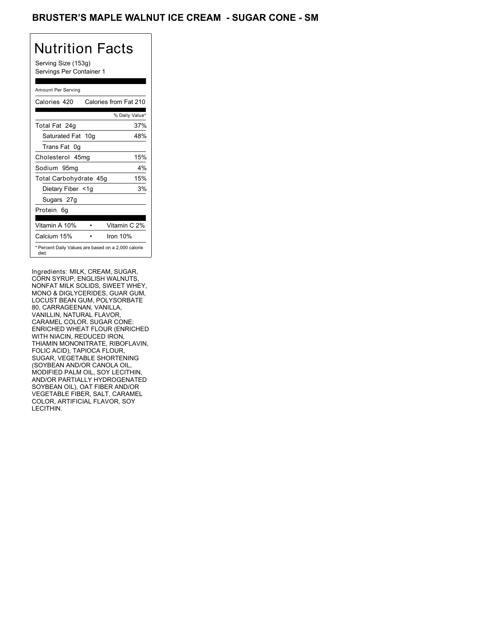### BRUSTER'S MAPLE WALNUT ICE CREAM - SUGAR CONE - SM

# Nutrition Facts

Serving Size (153g) Servings Per Container 1

### Amount Per Serving

| Calories 420                                                 | Calories from Fat 210 |
|--------------------------------------------------------------|-----------------------|
|                                                              | % Daily Value*        |
| Total Fat 24g                                                | 37%                   |
| Saturated Fat 10g                                            | 48%                   |
| Trans Fat 0q                                                 |                       |
| Cholesterol 45mg                                             | 15%                   |
| Sodium 95mg                                                  | 4%                    |
| Total Carbohydrate 45g                                       | 15%                   |
| Dietary Fiber <1g                                            | 3%                    |
| Sugars 27g                                                   |                       |
| Protein 6q                                                   |                       |
| Vitamin A 10%                                                | Vitamin C 2%          |
| Calcium 15%                                                  | Iron 10%              |
| * Percent Daily Values are based on a 2,000 calorie<br>diet. |                       |

Ingredients: MILK, CREAM, SUGAR, CORN SYRUP, ENGLISH WALNUTS, NONFAT MILK SOLIDS, SWEET WHEY, MONO & DIGLYCERIDES, GUAR GUM, LOCUST BEAN GUM, POLYSORBATE 80, CARRAGEENAN, VANILLA, VANILLIN, NATURAL FLAVOR, CARAMEL COLOR. SUGAR CONE: ENRICHED WHEAT FLOUR (ENRICHED WITH NIACIN, REDUCED IRON, THIAMIN MONONITRATE, RIBOFLAVIN, FOLIC ACID), TAPIOCA FLOUR, SUGAR, VEGETABLE SHORTENING (SOYBEAN AND/OR CANOLA OIL, MODIFIED PALM OIL, SOY LECITHIN, AND/OR PARTIALLY HYDROGENATED SOYBEAN OIL), OAT FIBER AND/OR VEGETABLE FIBER, SALT, CARAMEL COLOR, ARTIFICIAL FLAVOR, SOY LECITHIN.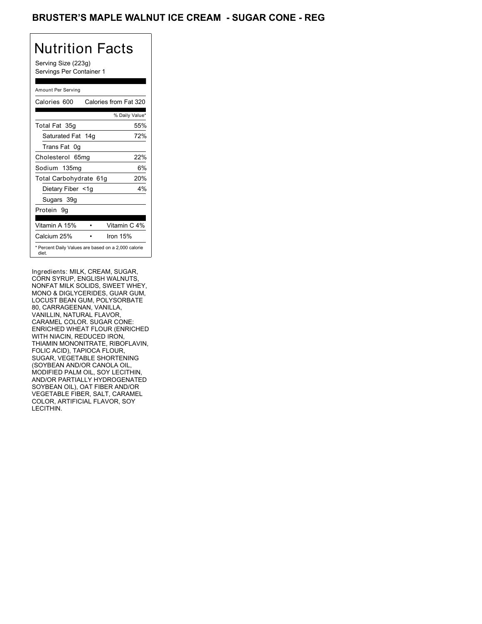### BRUSTER'S MAPLE WALNUT ICE CREAM - SUGAR CONE - REG

# Nutrition Facts

Serving Size (223g) Servings Per Container 1

### Amount Per Serving

| Calories 600           | Calories from Fat 320                               |
|------------------------|-----------------------------------------------------|
|                        | % Daily Value*                                      |
| Total Fat 35g          | 55%                                                 |
| Saturated Fat 14g      | 72%                                                 |
| Trans Fat 0q           |                                                     |
| Cholesterol 65mg       | 22%                                                 |
| Sodium 135mg           | 6%                                                  |
| Total Carbohydrate 61g | 20%                                                 |
| Dietary Fiber <1g      | 4%                                                  |
| Sugars 39g             |                                                     |
| Protein 9q             |                                                     |
|                        |                                                     |
| Vitamin A 15%          | Vitamin C 4%                                        |
| Calcium 25%            | Iron 15%                                            |
| diet.                  | * Percent Daily Values are based on a 2,000 calorie |

Ingredients: MILK, CREAM, SUGAR, CORN SYRUP, ENGLISH WALNUTS, NONFAT MILK SOLIDS, SWEET WHEY, MONO & DIGLYCERIDES, GUAR GUM, LOCUST BEAN GUM, POLYSORBATE 80, CARRAGEENAN, VANILLA, VANILLIN, NATURAL FLAVOR, CARAMEL COLOR. SUGAR CONE: ENRICHED WHEAT FLOUR (ENRICHED WITH NIACIN, REDUCED IRON, THIAMIN MONONITRATE, RIBOFLAVIN, FOLIC ACID), TAPIOCA FLOUR, SUGAR, VEGETABLE SHORTENING (SOYBEAN AND/OR CANOLA OIL, MODIFIED PALM OIL, SOY LECITHIN, AND/OR PARTIALLY HYDROGENATED SOYBEAN OIL), OAT FIBER AND/OR VEGETABLE FIBER, SALT, CARAMEL COLOR, ARTIFICIAL FLAVOR, SOY LECITHIN.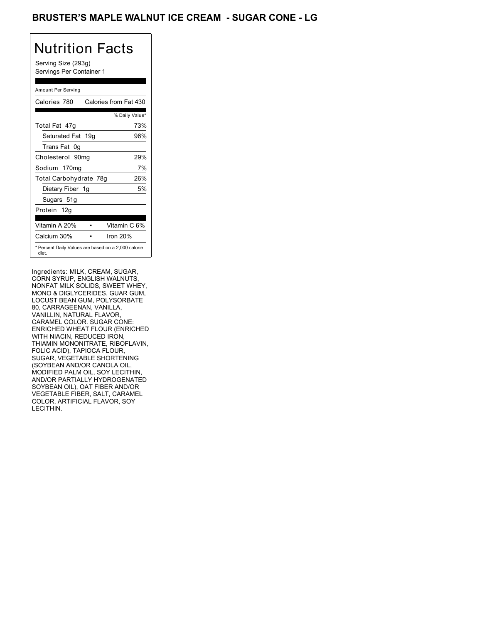### BRUSTER'S MAPLE WALNUT ICE CREAM - SUGAR CONE - LG

# Nutrition Facts

Serving Size (293g) Servings Per Container 1

### Amount Per Serving

| Calories 780           | Calories from Fat 430                               |
|------------------------|-----------------------------------------------------|
|                        | % Daily Value*                                      |
| Total Fat 47q          | 73%                                                 |
| Saturated Fat 19g      | 96%                                                 |
| Trans Fat 0q           |                                                     |
| Cholesterol 90mg       | 29%                                                 |
| Sodium 170mg           | 7%                                                  |
| Total Carbohydrate 78g | 26%                                                 |
| Dietary Fiber 1g       | 5%                                                  |
| Sugars 51g             |                                                     |
| Protein 12g            |                                                     |
|                        |                                                     |
| Vitamin A 20%          | Vitamin C 6%                                        |
| Calcium 30%            | Iron $20%$                                          |
| diet.                  | * Percent Daily Values are based on a 2,000 calorie |

Ingredients: MILK, CREAM, SUGAR, CORN SYRUP, ENGLISH WALNUTS, NONFAT MILK SOLIDS, SWEET WHEY, MONO & DIGLYCERIDES, GUAR GUM, LOCUST BEAN GUM, POLYSORBATE 80, CARRAGEENAN, VANILLA, VANILLIN, NATURAL FLAVOR, CARAMEL COLOR. SUGAR CONE: ENRICHED WHEAT FLOUR (ENRICHED WITH NIACIN, REDUCED IRON, THIAMIN MONONITRATE, RIBOFLAVIN, FOLIC ACID), TAPIOCA FLOUR, SUGAR, VEGETABLE SHORTENING (SOYBEAN AND/OR CANOLA OIL, MODIFIED PALM OIL, SOY LECITHIN, AND/OR PARTIALLY HYDROGENATED SOYBEAN OIL), OAT FIBER AND/OR VEGETABLE FIBER, SALT, CARAMEL COLOR, ARTIFICIAL FLAVOR, SOY LECITHIN.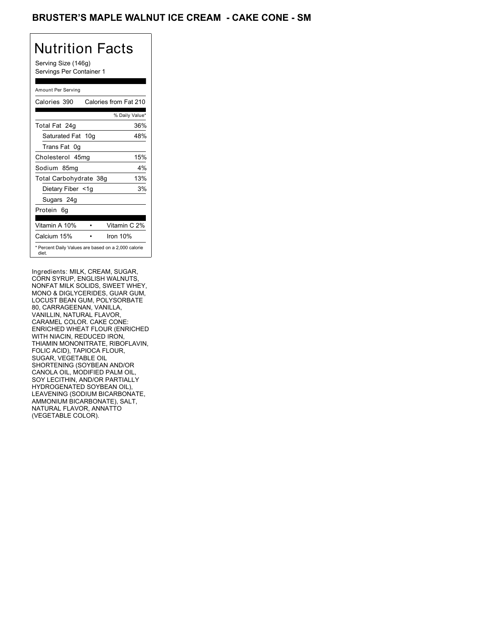### BRUSTER'S MAPLE WALNUT ICE CREAM - CAKE CONE - SM

## Nutrition Facts

Serving Size (146g) Servings Per Container 1

### Amount Per Serving

| Calories 390           | Calories from Fat 210                               |
|------------------------|-----------------------------------------------------|
|                        | % Daily Value*                                      |
| Total Fat 24g          | 36%                                                 |
| Saturated Fat 10g      | 48%                                                 |
| Trans Fat 0q           |                                                     |
| Cholesterol 45mg       | 15%                                                 |
| Sodium 85mg            | 4%                                                  |
| Total Carbohydrate 38g | 13%                                                 |
| Dietary Fiber <1g      | 3%                                                  |
| Sugars 24g             |                                                     |
| Protein 6q             |                                                     |
|                        |                                                     |
| Vitamin A 10%          | Vitamin C 2%                                        |
| Calcium 15%            | Iron 10%                                            |
| diet.                  | * Percent Daily Values are based on a 2,000 calorie |

Ingredients: MILK, CREAM, SUGAR, CORN SYRUP, ENGLISH WALNUTS, NONFAT MILK SOLIDS, SWEET WHEY, MONO & DIGLYCERIDES, GUAR GUM, LOCUST BEAN GUM, POLYSORBATE 80, CARRAGEENAN, VANILLA, VANILLIN, NATURAL FLAVOR, CARAMEL COLOR. CAKE CONE: ENRICHED WHEAT FLOUR (ENRICHED WITH NIACIN, REDUCED IRON, THIAMIN MONONITRATE, RIBOFLAVIN, FOLIC ACID), TAPIOCA FLOUR, SUGAR, VEGETABLE OIL SHORTENING (SOYBEAN AND/OR CANOLA OIL, MODIFIED PALM OIL, SOY LECITHIN, AND/OR PARTIALLY HYDROGENATED SOYBEAN OIL), LEAVENING (SODIUM BICARBONATE, AMMONIUM BICARBONATE), SALT, NATURAL FLAVOR, ANNATTO (VEGETABLE COLOR).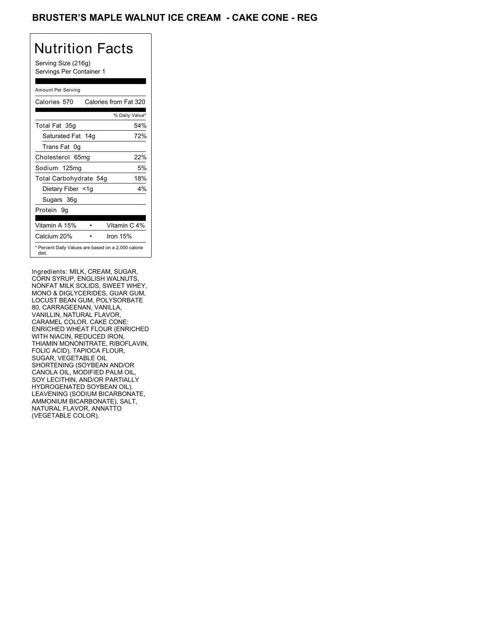### BRUSTER'S MAPLE WALNUT ICE CREAM - CAKE CONE - REG

## Nutrition Facts

Serving Size (216g) Servings Per Container 1

### Amount Per Serving

| Calories 570           | Calories from Fat 320                               |
|------------------------|-----------------------------------------------------|
|                        | % Daily Value*                                      |
| Total Fat 35g          | 54%                                                 |
| Saturated Fat 14g      | 72%                                                 |
| Trans Fat 0q           |                                                     |
| Cholesterol 65mg       | 22%                                                 |
| Sodium 125mg           | 5%                                                  |
| Total Carbohydrate 54g | 18%                                                 |
| Dietary Fiber <1g      | 4%                                                  |
| Sugars 36g             |                                                     |
| Protein 9q             |                                                     |
|                        |                                                     |
| Vitamin A 15%          | Vitamin C 4%                                        |
| Calcium 20%            | Iron 15%                                            |
| diet.                  | * Percent Daily Values are based on a 2,000 calorie |

Ingredients: MILK, CREAM, SUGAR, CORN SYRUP, ENGLISH WALNUTS, NONFAT MILK SOLIDS, SWEET WHEY, MONO & DIGLYCERIDES, GUAR GUM, LOCUST BEAN GUM, POLYSORBATE 80, CARRAGEENAN, VANILLA, VANILLIN, NATURAL FLAVOR, CARAMEL COLOR. CAKE CONE: ENRICHED WHEAT FLOUR (ENRICHED WITH NIACIN, REDUCED IRON, THIAMIN MONONITRATE, RIBOFLAVIN, FOLIC ACID), TAPIOCA FLOUR, SUGAR, VEGETABLE OIL SHORTENING (SOYBEAN AND/OR CANOLA OIL, MODIFIED PALM OIL, SOY LECITHIN, AND/OR PARTIALLY HYDROGENATED SOYBEAN OIL), LEAVENING (SODIUM BICARBONATE, AMMONIUM BICARBONATE), SALT, NATURAL FLAVOR, ANNATTO (VEGETABLE COLOR).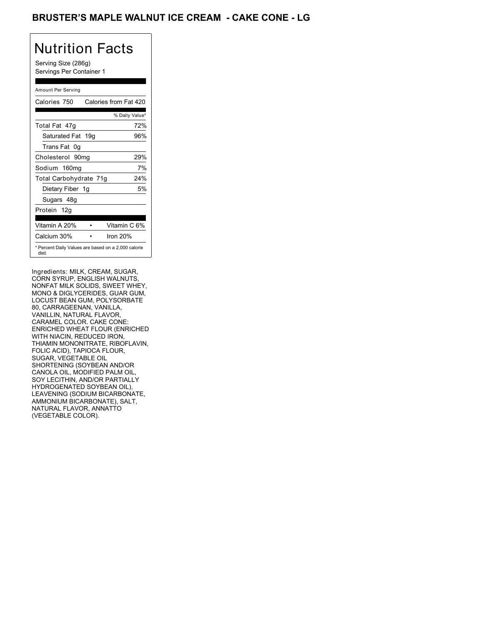### BRUSTER'S MAPLE WALNUT ICE CREAM - CAKE CONE - LG

# Nutrition Facts

Serving Size (286g) Servings Per Container 1

### Amount Per Serving

| Calories 750           | Calories from Fat 420                               |
|------------------------|-----------------------------------------------------|
|                        | % Daily Value*                                      |
| Total Fat 47q          | 72%                                                 |
| Saturated Fat 19g      | 96%                                                 |
| Trans Fat 0q           |                                                     |
| Cholesterol 90mg       | 29%                                                 |
| Sodium 160mg           | 7%                                                  |
| Total Carbohydrate 71g | 24%                                                 |
| Dietary Fiber 1g       | 5%                                                  |
| Sugars 48g             |                                                     |
| Protein 12g            |                                                     |
| Vitamin A 20%          | Vitamin C 6%                                        |
| Calcium 30%            | Iron $20%$                                          |
| diet.                  | * Percent Daily Values are based on a 2,000 calorie |

Ingredients: MILK, CREAM, SUGAR, CORN SYRUP, ENGLISH WALNUTS, NONFAT MILK SOLIDS, SWEET WHEY, MONO & DIGLYCERIDES, GUAR GUM, LOCUST BEAN GUM, POLYSORBATE 80, CARRAGEENAN, VANILLA, VANILLIN, NATURAL FLAVOR, CARAMEL COLOR. CAKE CONE: ENRICHED WHEAT FLOUR (ENRICHED WITH NIACIN, REDUCED IRON, THIAMIN MONONITRATE, RIBOFLAVIN, FOLIC ACID), TAPIOCA FLOUR, SUGAR, VEGETABLE OIL SHORTENING (SOYBEAN AND/OR CANOLA OIL, MODIFIED PALM OIL, SOY LECITHIN, AND/OR PARTIALLY HYDROGENATED SOYBEAN OIL), LEAVENING (SODIUM BICARBONATE, AMMONIUM BICARBONATE), SALT, NATURAL FLAVOR, ANNATTO (VEGETABLE COLOR).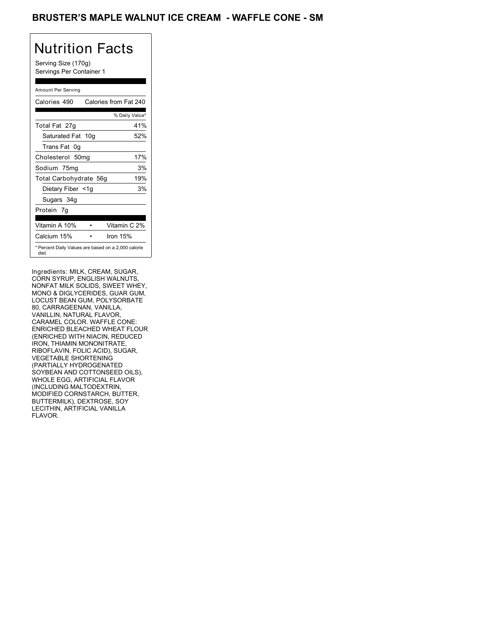### BRUSTER'S MAPLE WALNUT ICE CREAM - WAFFLE CONE - SM

# Nutrition Facts

Serving Size (170g) Servings Per Container 1

### Amount Per Serving

| Calories 490           | Calories from Fat 240                               |
|------------------------|-----------------------------------------------------|
|                        | % Daily Value*                                      |
| Total Fat 27g          | 41%                                                 |
| Saturated Fat 10g      | 52%                                                 |
| Trans Fat 0q           |                                                     |
| Cholesterol 50mg       | 17%                                                 |
| Sodium 75mg            | 3%                                                  |
| Total Carbohydrate 56g | 19%                                                 |
| Dietary Fiber <1g      | 3%                                                  |
| Sugars 34g             |                                                     |
| Protein 7q             |                                                     |
| Vitamin A 10%          | Vitamin C 2%                                        |
| Calcium 15%            | Iron 15%                                            |
| diet.                  | * Percent Daily Values are based on a 2,000 calorie |

Ingredients: MILK, CREAM, SUGAR, CORN SYRUP, ENGLISH WALNUTS, NONFAT MILK SOLIDS, SWEET WHEY, MONO & DIGLYCERIDES, GUAR GUM, LOCUST BEAN GUM, POLYSORBATE 80, CARRAGEENAN, VANILLA, VANILLIN, NATURAL FLAVOR, CARAMEL COLOR. WAFFLE CONE: ENRICHED BLEACHED WHEAT FLOUR (ENRICHED WITH NIACIN, REDUCED IRON, THIAMIN MONONITRATE, RIBOFLAVIN, FOLIC ACID), SUGAR, VEGETABLE SHORTENING (PARTIALLY HYDROGENATED SOYBEAN AND COTTONSEED OILS), WHOLE EGG, ARTIFICIAL FLAVOR (INCLUDING MALTODEXTRIN, MODIFIED CORNSTARCH, BUTTER, BUTTERMILK), DEXTROSE, SOY LECITHIN, ARTIFICIAL VANILLA FLAVOR.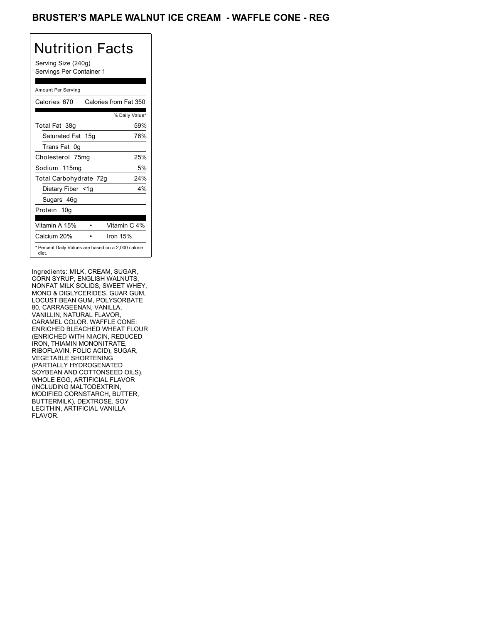### BRUSTER'S MAPLE WALNUT ICE CREAM - WAFFLE CONE - REG

# Nutrition Facts

Serving Size (240g) Servings Per Container 1

### Amount Per Serving

| Calories 670           | Calories from Fat 350                               |
|------------------------|-----------------------------------------------------|
|                        | % Daily Value*                                      |
| Total Fat 38g          | 59%                                                 |
| Saturated Fat 15g      | 76%                                                 |
| Trans Fat 0q           |                                                     |
| Cholesterol 75mg       | 25%                                                 |
| Sodium 115mg           | 5%                                                  |
| Total Carbohydrate 72g | 24%                                                 |
| Dietary Fiber <1g      | 4%                                                  |
| Sugars 46g             |                                                     |
| Protein 10q            |                                                     |
| Vitamin A 15%          | Vitamin C 4%                                        |
|                        |                                                     |
| Calcium 20%            | Iron 15%                                            |
| diet.                  | * Percent Daily Values are based on a 2,000 calorie |

Ingredients: MILK, CREAM, SUGAR, CORN SYRUP, ENGLISH WALNUTS, NONFAT MILK SOLIDS, SWEET WHEY, MONO & DIGLYCERIDES, GUAR GUM, LOCUST BEAN GUM, POLYSORBATE 80, CARRAGEENAN, VANILLA, VANILLIN, NATURAL FLAVOR, CARAMEL COLOR. WAFFLE CONE: ENRICHED BLEACHED WHEAT FLOUR (ENRICHED WITH NIACIN, REDUCED IRON, THIAMIN MONONITRATE, RIBOFLAVIN, FOLIC ACID), SUGAR, VEGETABLE SHORTENING (PARTIALLY HYDROGENATED SOYBEAN AND COTTONSEED OILS), WHOLE EGG, ARTIFICIAL FLAVOR (INCLUDING MALTODEXTRIN, MODIFIED CORNSTARCH, BUTTER, BUTTERMILK), DEXTROSE, SOY LECITHIN, ARTIFICIAL VANILLA FLAVOR.